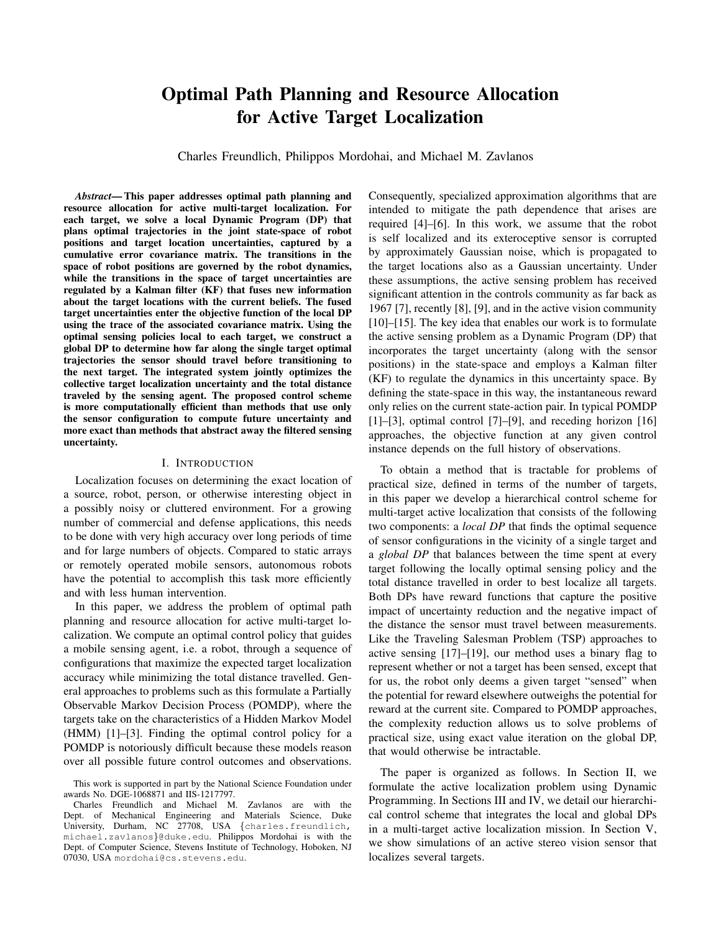# Optimal Path Planning and Resource Allocation for Active Target Localization

Charles Freundlich, Philippos Mordohai, and Michael M. Zavlanos

*Abstract*— This paper addresses optimal path planning and resource allocation for active multi-target localization. For each target, we solve a local Dynamic Program (DP) that plans optimal trajectories in the joint state-space of robot positions and target location uncertainties, captured by a cumulative error covariance matrix. The transitions in the space of robot positions are governed by the robot dynamics, while the transitions in the space of target uncertainties are regulated by a Kalman filter (KF) that fuses new information about the target locations with the current beliefs. The fused target uncertainties enter the objective function of the local DP using the trace of the associated covariance matrix. Using the optimal sensing policies local to each target, we construct a global DP to determine how far along the single target optimal trajectories the sensor should travel before transitioning to the next target. The integrated system jointly optimizes the collective target localization uncertainty and the total distance traveled by the sensing agent. The proposed control scheme is more computationally efficient than methods that use only the sensor configuration to compute future uncertainty and more exact than methods that abstract away the filtered sensing uncertainty.

#### I. INTRODUCTION

Localization focuses on determining the exact location of a source, robot, person, or otherwise interesting object in a possibly noisy or cluttered environment. For a growing number of commercial and defense applications, this needs to be done with very high accuracy over long periods of time and for large numbers of objects. Compared to static arrays or remotely operated mobile sensors, autonomous robots have the potential to accomplish this task more efficiently and with less human intervention.

In this paper, we address the problem of optimal path planning and resource allocation for active multi-target localization. We compute an optimal control policy that guides a mobile sensing agent, i.e. a robot, through a sequence of configurations that maximize the expected target localization accuracy while minimizing the total distance travelled. General approaches to problems such as this formulate a Partially Observable Markov Decision Process (POMDP), where the targets take on the characteristics of a Hidden Markov Model (HMM) [1]–[3]. Finding the optimal control policy for a POMDP is notoriously difficult because these models reason over all possible future control outcomes and observations.

Consequently, specialized approximation algorithms that are intended to mitigate the path dependence that arises are required [4]–[6]. In this work, we assume that the robot is self localized and its exteroceptive sensor is corrupted by approximately Gaussian noise, which is propagated to the target locations also as a Gaussian uncertainty. Under these assumptions, the active sensing problem has received significant attention in the controls community as far back as 1967 [7], recently [8], [9], and in the active vision community [10]–[15]. The key idea that enables our work is to formulate the active sensing problem as a Dynamic Program (DP) that incorporates the target uncertainty (along with the sensor positions) in the state-space and employs a Kalman filter (KF) to regulate the dynamics in this uncertainty space. By defining the state-space in this way, the instantaneous reward only relies on the current state-action pair. In typical POMDP  $[1]$ – $[3]$ , optimal control  $[7]$ – $[9]$ , and receding horizon  $[16]$ approaches, the objective function at any given control instance depends on the full history of observations.

To obtain a method that is tractable for problems of practical size, defined in terms of the number of targets, in this paper we develop a hierarchical control scheme for multi-target active localization that consists of the following two components: a *local DP* that finds the optimal sequence of sensor configurations in the vicinity of a single target and a *global DP* that balances between the time spent at every target following the locally optimal sensing policy and the total distance travelled in order to best localize all targets. Both DPs have reward functions that capture the positive impact of uncertainty reduction and the negative impact of the distance the sensor must travel between measurements. Like the Traveling Salesman Problem (TSP) approaches to active sensing [17]–[19], our method uses a binary flag to represent whether or not a target has been sensed, except that for us, the robot only deems a given target "sensed" when the potential for reward elsewhere outweighs the potential for reward at the current site. Compared to POMDP approaches, the complexity reduction allows us to solve problems of practical size, using exact value iteration on the global DP, that would otherwise be intractable.

The paper is organized as follows. In Section II, we formulate the active localization problem using Dynamic Programming. In Sections III and IV, we detail our hierarchical control scheme that integrates the local and global DPs in a multi-target active localization mission. In Section V, we show simulations of an active stereo vision sensor that localizes several targets.

This work is supported in part by the National Science Foundation under awards No. DGE-1068871 and IIS-1217797.

Charles Freundlich and Michael M. Zavlanos are with the Dept. of Mechanical Engineering and Materials Science, Duke University, Durham, NC 27708, USA {charles.freundlich, michael.zavlanos}@duke.edu. Philippos Mordohai is with the Dept. of Computer Science, Stevens Institute of Technology, Hoboken, NJ 07030, USA mordohai@cs.stevens.edu.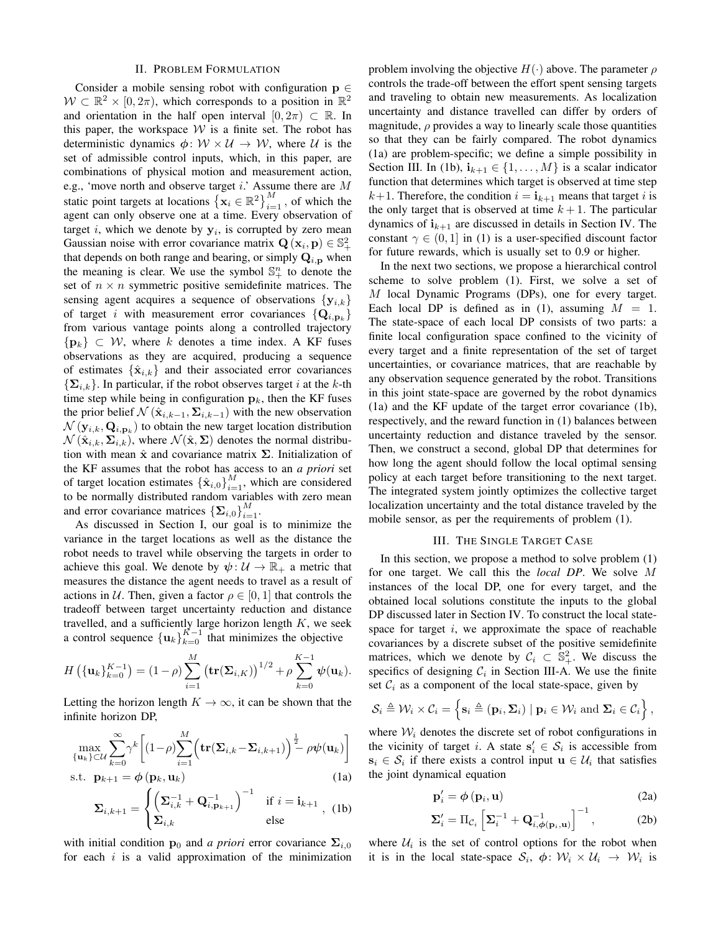#### II. PROBLEM FORMULATION

Consider a mobile sensing robot with configuration  $p \in$  $W \subset \mathbb{R}^2 \times [0, 2\pi)$ , which corresponds to a position in  $\mathbb{R}^2$ and orientation in the half open interval  $[0, 2\pi) \subset \mathbb{R}$ . In this paper, the workspace  $W$  is a finite set. The robot has deterministic dynamics  $\phi \colon \mathcal{W} \times \mathcal{U} \to \mathcal{W}$ , where  $\mathcal{U}$  is the set of admissible control inputs, which, in this paper, are combinations of physical motion and measurement action, e.g., 'move north and observe target i.' Assume there are M static point targets at locations  $\left\{ \mathbf{x}_i \in \mathbb{R}^2 \right\}_{i=1}^M$ , of which the agent can only observe one at a time. Every observation of target *i*, which we denote by  $y_i$ , is corrupted by zero mean Gaussian noise with error covariance matrix  $\mathbf{Q}(\mathbf{x}_i, \mathbf{p}) \in \mathbb{S}^2_+$ that depends on both range and bearing, or simply  $Q_{i,p}$  when the meaning is clear. We use the symbol  $\mathbb{S}^n_+$  to denote the set of  $n \times n$  symmetric positive semidefinite matrices. The sensing agent acquires a sequence of observations  $\{y_{i,k}\}\$ of target i with measurement error covariances  $\{Q_{i,p_k}\}\$ from various vantage points along a controlled trajectory  ${p_k} \subset W$ , where k denotes a time index. A KF fuses observations as they are acquired, producing a sequence of estimates  $\{\hat{\mathbf{x}}_{i,k}\}\$  and their associated error covariances  $\{\mathbf\Sigma_{i,k}\}\.$  In particular, if the robot observes target i at the k-th time step while being in configuration  $\mathbf{p}_k$ , then the KF fuses the prior belief  $\mathcal{N}(\hat{\mathbf{x}}_{i,k-1}, \Sigma_{i,k-1})$  with the new observation  $\mathcal{N}\left(\mathbf{y}_{i,k},\mathbf{Q}_{i,\mathbf{p}_k}\right)$  to obtain the new target location distribution  $\mathcal{N}(\hat{\mathbf{x}}_{i,k}, \Sigma_{i,k})$ , where  $\mathcal{N}(\hat{\mathbf{x}}, \Sigma)$  denotes the normal distribution with mean  $\hat{x}$  and covariance matrix  $\Sigma$ . Initialization of the KF assumes that the robot has access to an *a priori* set of target location estimates  $\{\hat{\mathbf{x}}_{i,0}\}_{i=1}^M$ , which are considered to be normally distributed random variables with zero mean and error covariance matrices  $\{\mathbf\Sigma_{i,0}\}_{i=1}^M$ .

As discussed in Section I, our goal is to minimize the variance in the target locations as well as the distance the robot needs to travel while observing the targets in order to achieve this goal. We denote by  $\psi: \mathcal{U} \to \mathbb{R}_+$  a metric that measures the distance the agent needs to travel as a result of actions in U. Then, given a factor  $\rho \in [0, 1]$  that controls the tradeoff between target uncertainty reduction and distance travelled, and a sufficiently large horizon length  $K$ , we seek a control sequence  ${\{\mathbf u}_k\}_{k=0}^{K-1}$  that minimizes the objective

$$
H\left(\{\mathbf{u}_{k}\}_{k=0}^{K-1}\right)=(1-\rho)\sum_{i=1}^{M}\left(\mathbf{tr}(\mathbf{\Sigma}_{i,K})\right)^{1/2}+\rho\sum_{k=0}^{K-1}\psi(\mathbf{u}_{k}).
$$

Letting the horizon length  $K \to \infty$ , it can be shown that the infinite horizon DP,

$$
\max_{\{\mathbf{u}_k\}\subset\mathcal{U}}\sum_{k=0}^{\infty}\gamma^k\bigg[(1-\rho)\sum_{i=1}^M\bigg(\mathrm{tr}(\mathbf{\Sigma}_{i,k}-\mathbf{\Sigma}_{i,k+1})\bigg)^{\frac{1}{2}}-\rho\psi(\mathbf{u}_k)\bigg]
$$

$$
\text{s.t. } \mathbf{p}_{k+1} = \boldsymbol{\phi}\left(\mathbf{p}_k, \mathbf{u}_k\right) \tag{1a}
$$

$$
\mathbf{\Sigma}_{i,k+1} = \begin{cases} \left( \mathbf{\Sigma}_{i,k}^{-1} + \mathbf{Q}_{i,\mathbf{p}_{k+1}}^{-1} \right)^{-1} & \text{if } i = \mathbf{i}_{k+1} \\ \mathbf{\Sigma}_{i,k} & \text{else} \end{cases}, (1b)
$$

with initial condition  $\mathbf{p}_0$  and *a priori* error covariance  $\Sigma_{i,0}$ for each  $i$  is a valid approximation of the minimization problem involving the objective  $H(\cdot)$  above. The parameter  $\rho$ controls the trade-off between the effort spent sensing targets and traveling to obtain new measurements. As localization uncertainty and distance travelled can differ by orders of magnitude,  $\rho$  provides a way to linearly scale those quantities so that they can be fairly compared. The robot dynamics (1a) are problem-specific; we define a simple possibility in Section III. In (1b),  $\mathbf{i}_{k+1} \in \{1, ..., M\}$  is a scalar indicator function that determines which target is observed at time step  $k+1$ . Therefore, the condition  $i = \mathbf{i}_{k+1}$  means that target i is the only target that is observed at time  $k + 1$ . The particular dynamics of  $\mathbf{i}_{k+1}$  are discussed in details in Section IV. The constant  $\gamma \in (0,1]$  in (1) is a user-specified discount factor for future rewards, which is usually set to 0.9 or higher.

In the next two sections, we propose a hierarchical control scheme to solve problem (1). First, we solve a set of M local Dynamic Programs (DPs), one for every target. Each local DP is defined as in (1), assuming  $M = 1$ . The state-space of each local DP consists of two parts: a finite local configuration space confined to the vicinity of every target and a finite representation of the set of target uncertainties, or covariance matrices, that are reachable by any observation sequence generated by the robot. Transitions in this joint state-space are governed by the robot dynamics (1a) and the KF update of the target error covariance (1b), respectively, and the reward function in (1) balances between uncertainty reduction and distance traveled by the sensor. Then, we construct a second, global DP that determines for how long the agent should follow the local optimal sensing policy at each target before transitioning to the next target. The integrated system jointly optimizes the collective target localization uncertainty and the total distance traveled by the mobile sensor, as per the requirements of problem (1).

#### III. THE SINGLE TARGET CASE

In this section, we propose a method to solve problem (1) for one target. We call this the *local DP*. We solve M instances of the local DP, one for every target, and the obtained local solutions constitute the inputs to the global DP discussed later in Section IV. To construct the local statespace for target  $i$ , we approximate the space of reachable covariances by a discrete subset of the positive semidefinite matrices, which we denote by  $C_i \subset \mathbb{S}^2_+$ . We discuss the specifics of designing  $C_i$  in Section III-A. We use the finite set  $C_i$  as a component of the local state-space, given by

$$
\mathcal{S}_i \triangleq \mathcal{W}_i \times \mathcal{C}_i = \left\{ \mathbf{s}_i \triangleq (\mathbf{p}_i, \boldsymbol{\Sigma}_i) \mid \mathbf{p}_i \in \mathcal{W}_i \text{ and } \boldsymbol{\Sigma}_i \in \mathcal{C}_i \right\},\
$$

where  $W_i$  denotes the discrete set of robot configurations in the vicinity of target *i*. A state  $s'_i \in S_i$  is accessible from  $s_i \in S_i$  if there exists a control input  $u \in \mathcal{U}_i$  that satisfies the joint dynamical equation

$$
\mathbf{p}'_i = \boldsymbol{\phi}\left(\mathbf{p}_i, \mathbf{u}\right) \tag{2a}
$$

$$
\Sigma_i' = \Pi_{\mathcal{C}_i} \left[ \Sigma_i^{-1} + \mathbf{Q}_{i, \phi(\mathbf{p}_i, \mathbf{u})}^{-1} \right]^{-1}, \tag{2b}
$$

where  $\mathcal{U}_i$  is the set of control options for the robot when it is in the local state-space  $S_i$ ,  $\phi: \mathcal{W}_i \times \mathcal{U}_i \rightarrow \mathcal{W}_i$  is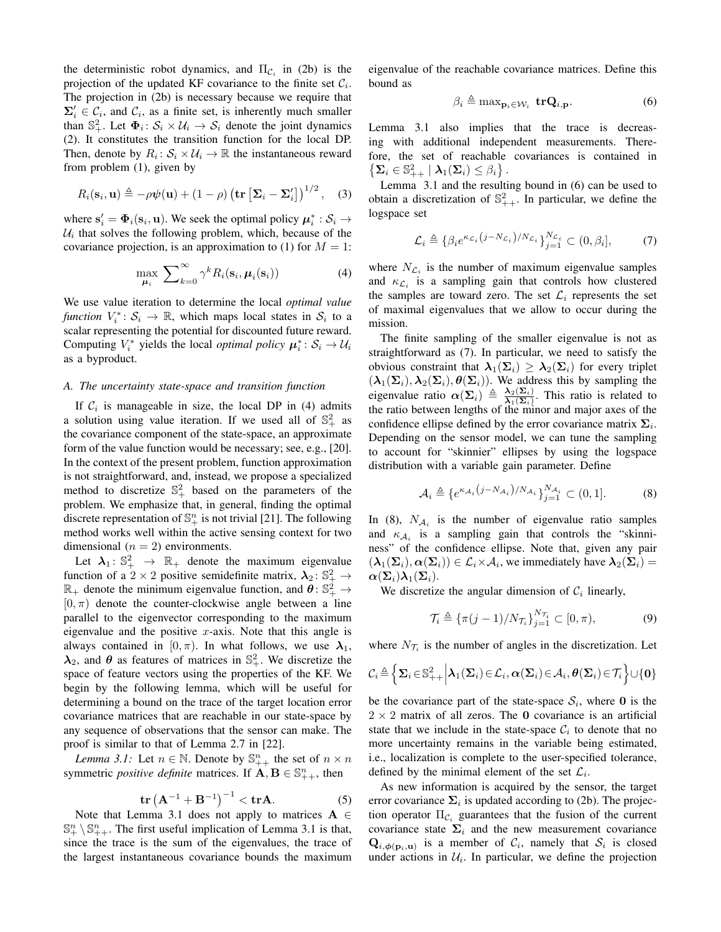the deterministic robot dynamics, and  $\Pi_{\mathcal{C}_i}$  in (2b) is the projection of the updated KF covariance to the finite set  $C_i$ . The projection in (2b) is necessary because we require that  $\Sigma'_i \in \mathcal{C}_i$ , and  $\mathcal{C}_i$ , as a finite set, is inherently much smaller than  $\mathbb{S}^2_+$ . Let  $\Phi_i$ :  $\mathcal{S}_i \times \mathcal{U}_i \to \mathcal{S}_i$  denote the joint dynamics (2). It constitutes the transition function for the local DP. Then, denote by  $R_i: \mathcal{S}_i \times \mathcal{U}_i \to \mathbb{R}$  the instantaneous reward from problem (1), given by

$$
R_i(\mathbf{s}_i, \mathbf{u}) \triangleq -\rho \psi(\mathbf{u}) + (1 - \rho) \left( \mathbf{tr} \left[ \mathbf{\Sigma}_i - \mathbf{\Sigma}'_i \right] \right)^{1/2}, \quad (3)
$$

where  $\mathbf{s}'_i = \mathbf{\Phi}_i(\mathbf{s}_i, \mathbf{u})$ . We seek the optimal policy  $\boldsymbol{\mu}_i^* : \mathcal{S}_i \to$  $U_i$  that solves the following problem, which, because of the covariance projection, is an approximation to (1) for  $M = 1$ :

$$
\max_{\mu_i} \sum_{k=0}^{\infty} \gamma^k R_i(\mathbf{s}_i, \mu_i(\mathbf{s}_i)) \tag{4}
$$

We use value iteration to determine the local *optimal value function*  $V_i^* \colon \mathcal{S}_i \to \mathbb{R}$ , which maps local states in  $\mathcal{S}_i$  to a scalar representing the potential for discounted future reward. Computing  $V_i^*$  yields the local *optimal policy*  $\mu_i^* : S_i \to U_i$ as a byproduct.

## *A. The uncertainty state-space and transition function*

If  $C_i$  is manageable in size, the local DP in (4) admits a solution using value iteration. If we used all of  $\mathbb{S}^2_+$  as the covariance component of the state-space, an approximate form of the value function would be necessary; see, e.g., [20]. In the context of the present problem, function approximation is not straightforward, and, instead, we propose a specialized method to discretize  $\mathbb{S}^2_+$  based on the parameters of the problem. We emphasize that, in general, finding the optimal discrete representation of  $\mathbb{S}^n_+$  is not trivial [21]. The following method works well within the active sensing context for two dimensional  $(n = 2)$  environments.

Let  $\lambda_1: \mathbb{S}^2_+ \rightarrow \mathbb{R}_+$  denote the maximum eigenvalue function of a  $2 \times 2$  positive semidefinite matrix,  $\lambda_2$ :  $\mathbb{S}^2_+$   $\rightarrow$  $\mathbb{R}_+$  denote the minimum eigenvalue function, and  $\theta: \mathbb{S}_+^2 \to$  $[0, \pi)$  denote the counter-clockwise angle between a line parallel to the eigenvector corresponding to the maximum eigenvalue and the positive  $x$ -axis. Note that this angle is always contained in  $[0, \pi)$ . In what follows, we use  $\lambda_1$ ,  $\lambda_2$ , and  $\theta$  as features of matrices in  $\mathbb{S}^2_+$ . We discretize the space of feature vectors using the properties of the KF. We begin by the following lemma, which will be useful for determining a bound on the trace of the target location error covariance matrices that are reachable in our state-space by any sequence of observations that the sensor can make. The proof is similar to that of Lemma 2.7 in [22].

*Lemma 3.1:* Let  $n \in \mathbb{N}$ . Denote by  $\mathbb{S}_{++}^n$  the set of  $n \times n$ symmetric *positive definite* matrices. If  $\mathbf{A}, \mathbf{B} \in \mathbb{S}_{++}^n$ , then

$$
tr(A^{-1} + B^{-1})^{-1} < trA.
$$
 (5)

Note that Lemma 3.1 does not apply to matrices  $A \in$  $\mathbb{S}^n_+ \setminus \mathbb{S}^n_{++}$ . The first useful implication of Lemma 3.1 is that, since the trace is the sum of the eigenvalues, the trace of the largest instantaneous covariance bounds the maximum eigenvalue of the reachable covariance matrices. Define this bound as

$$
\beta_i \triangleq \max_{\mathbf{p}_i \in \mathcal{W}_i} \mathbf{tr} \mathbf{Q}_{i,\mathbf{p}}.
$$
 (6)

Lemma 3.1 also implies that the trace is decreasing with additional independent measurements. Therefore, the set of reachable covariances is contained in  $\left\{ \mathbf{\Sigma}_{i} \in \mathbb{S}^{2}_{++} \mid \mathbf{\lambda}_{1}(\mathbf{\Sigma}_{i}) \leq \beta_{i} \right\}.$ 

Lemma 3.1 and the resulting bound in (6) can be used to obtain a discretization of  $\mathbb{S}^2_{++}$ . In particular, we define the logspace set

$$
\mathcal{L}_i \triangleq \{ \beta_i e^{\kappa_{\mathcal{L}_i} \left( j - N_{\mathcal{L}_i} \right) / N_{\mathcal{L}_i}} \}_{j=1}^{N_{\mathcal{L}_i}} \subset (0, \beta_i], \tag{7}
$$

where  $N_{\mathcal{L}_i}$  is the number of maximum eigenvalue samples and  $\kappa_{\mathcal{L}_i}$  is a sampling gain that controls how clustered the samples are toward zero. The set  $\mathcal{L}_i$  represents the set of maximal eigenvalues that we allow to occur during the mission.

The finite sampling of the smaller eigenvalue is not as straightforward as (7). In particular, we need to satisfy the obvious constraint that  $\lambda_1(\Sigma_i) \geq \lambda_2(\Sigma_i)$  for every triplet  $(\lambda_1(\Sigma_i), \lambda_2(\Sigma_i), \theta(\Sigma_i))$ . We address this by sampling the eigenvalue ratio  $\alpha(\Sigma_i) \triangleq \frac{\lambda_2(\Sigma_i)}{\lambda_1(\Sigma_i)}$  $\frac{\lambda_2(\Sigma_i)}{\lambda_1(\Sigma_i)}$ . This ratio is related to the ratio between lengths of the minor and major axes of the confidence ellipse defined by the error covariance matrix  $\Sigma_i$ . Depending on the sensor model, we can tune the sampling to account for "skinnier" ellipses by using the logspace distribution with a variable gain parameter. Define

$$
\mathcal{A}_i \triangleq \{e^{\kappa_{\mathcal{A}_i}(j - N_{\mathcal{A}_i})/N_{\mathcal{A}_i}}\}_{j=1}^{N_{\mathcal{A}_i}} \subset (0, 1].
$$
 (8)

In (8),  $N_{A_i}$  is the number of eigenvalue ratio samples and  $\kappa_{A_i}$  is a sampling gain that controls the "skinniness" of the confidence ellipse. Note that, given any pair  $(\lambda_1(\Sigma_i), \alpha(\Sigma_i)) \in \mathcal{L}_i \times \mathcal{A}_i$ , we immediately have  $\lambda_2(\Sigma_i) =$  $\alpha(\Sigma_i)\lambda_1(\Sigma_i)$ .

We discretize the angular dimension of  $C_i$  linearly,

$$
\mathcal{T}_i \triangleq \{ \pi(j-1)/N_{\mathcal{T}_i} \}_{j=1}^{N_{\mathcal{T}_i}} \subset [0, \pi), \tag{9}
$$

where  $N_{\mathcal{T}_i}$  is the number of angles in the discretization. Let

$$
\mathcal{C}_i \triangleq \left\{ \mathbf{\Sigma}_i \in \mathbb{S}_{++}^2 \, \middle| \, \mathbf{\lambda}_1(\mathbf{\Sigma}_i) \in \mathcal{L}_i, \boldsymbol{\alpha}(\mathbf{\Sigma}_i) \in \mathcal{A}_i, \boldsymbol{\theta}(\mathbf{\Sigma}_i) \in \mathcal{T}_i \right\} \cup \{0\}
$$

be the covariance part of the state-space  $S_i$ , where 0 is the  $2 \times 2$  matrix of all zeros. The 0 covariance is an artificial state that we include in the state-space  $\mathcal{C}_i$  to denote that no more uncertainty remains in the variable being estimated, i.e., localization is complete to the user-specified tolerance, defined by the minimal element of the set  $\mathcal{L}_i$ .

As new information is acquired by the sensor, the target error covariance  $\Sigma_i$  is updated according to (2b). The projection operator  $\Pi_{\mathcal{C}_i}$  guarantees that the fusion of the current covariance state  $\Sigma_i$  and the new measurement covariance  $\mathbf{Q}_{i,\phi(\mathbf{p}_i,\mathbf{u})}$  is a member of  $\mathcal{C}_i$ , namely that  $\mathcal{S}_i$  is closed under actions in  $U_i$ . In particular, we define the projection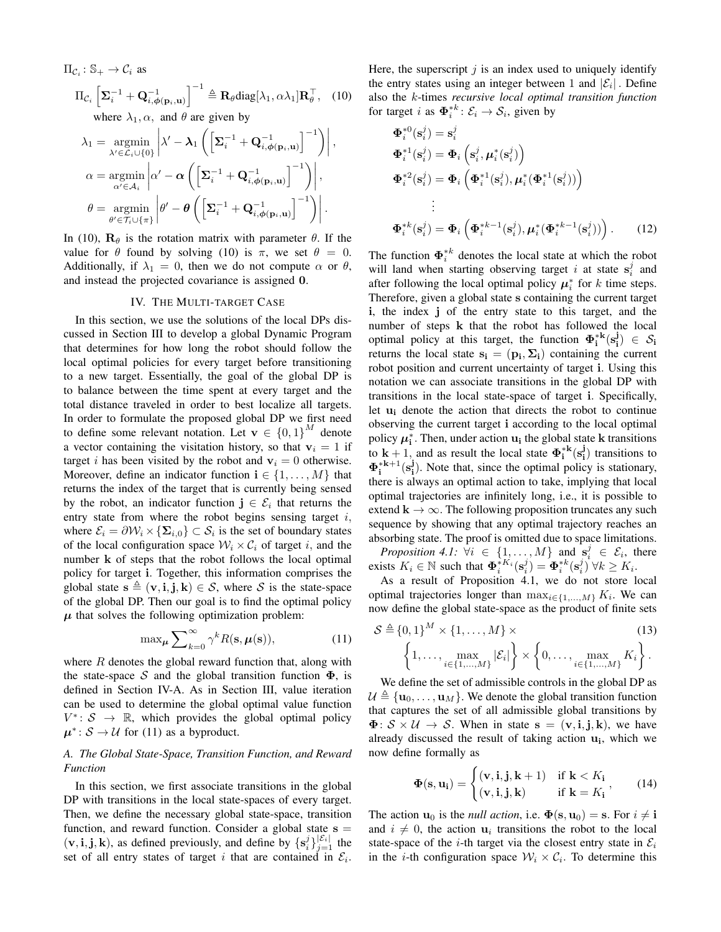$$
\Pi_{\mathcal{C}_i} : \mathbb{S}_+ \to \mathcal{C}_i \text{ as}
$$
\n
$$
\Pi_{\mathcal{C}_i} \left[ \Sigma_i^{-1} + \mathbf{Q}_{i, \phi(\mathbf{p}_i, \mathbf{u})}^{-1} \right]^{-1} \triangleq \mathbf{R}_{\theta} \text{diag}[\lambda_1, \alpha \lambda_1] \mathbf{R}_{\theta}^{\top}, \quad (10)
$$
\nwhere  $\lambda_1, \alpha$ , and  $\theta$  are given by

$$
\lambda_1 = \underset{\lambda' \in \mathcal{L}_i \cup \{0\}}{\operatorname{argmin}} \left| \lambda' - \lambda_1 \left( \left[ \mathbf{\Sigma}_i^{-1} + \mathbf{Q}_{i, \phi(\mathbf{p}_i, \mathbf{u})}^{-1} \right]^{-1} \right) \right|,
$$
  
\n
$$
\alpha = \underset{\alpha' \in \mathcal{A}_i}{\operatorname{argmin}} \left| \alpha' - \alpha \left( \left[ \mathbf{\Sigma}_i^{-1} + \mathbf{Q}_{i, \phi(\mathbf{p}_i, \mathbf{u})}^{-1} \right]^{-1} \right) \right|,
$$
  
\n
$$
\theta = \underset{\theta' \in \mathcal{T}_i \cup \{\pi\}}{\operatorname{argmin}} \left| \theta' - \theta \left( \left[ \mathbf{\Sigma}_i^{-1} + \mathbf{Q}_{i, \phi(\mathbf{p}_i, \mathbf{u})}^{-1} \right]^{-1} \right) \right|.
$$

In (10),  $\mathbf{R}_{\theta}$  is the rotation matrix with parameter  $\theta$ . If the value for  $\theta$  found by solving (10) is  $\pi$ , we set  $\theta = 0$ . Additionally, if  $\lambda_1 = 0$ , then we do not compute  $\alpha$  or  $\theta$ , and instead the projected covariance is assigned 0.

#### IV. THE MULTI-TARGET CASE

In this section, we use the solutions of the local DPs discussed in Section III to develop a global Dynamic Program that determines for how long the robot should follow the local optimal policies for every target before transitioning to a new target. Essentially, the goal of the global DP is to balance between the time spent at every target and the total distance traveled in order to best localize all targets. In order to formulate the proposed global DP we first need to define some relevant notation. Let  $\mathbf{v} \in \{0,1\}^M$  denote a vector containing the visitation history, so that  $v_i = 1$  if target *i* has been visited by the robot and  $v_i = 0$  otherwise. Moreover, define an indicator function  $\mathbf{i} \in \{1, \ldots, M\}$  that returns the index of the target that is currently being sensed by the robot, an indicator function  $\mathbf{j} \in \mathcal{E}_i$  that returns the entry state from where the robot begins sensing target  $i$ , where  $\mathcal{E}_i = \partial \mathcal{W}_i \times \{\mathbf{\Sigma}_{i,0}\}\subset \mathcal{S}_i$  is the set of boundary states of the local configuration space  $W_i \times C_i$  of target i, and the number k of steps that the robot follows the local optimal policy for target i. Together, this information comprises the global state  $s \triangleq (v, i, j, k) \in S$ , where S is the state-space of the global DP. Then our goal is to find the optimal policy  $\mu$  that solves the following optimization problem:

$$
\max_{\mu} \sum_{k=0}^{\infty} \gamma^k R(\mathbf{s}, \mu(\mathbf{s})), \tag{11}
$$

where  $R$  denotes the global reward function that, along with the state-space S and the global transition function  $\Phi$ , is defined in Section IV-A. As in Section III, value iteration can be used to determine the global optimal value function  $V^*$ :  $S \rightarrow \mathbb{R}$ , which provides the global optimal policy  $\mu^*$ :  $S \rightarrow U$  for (11) as a byproduct.

# *A. The Global State-Space, Transition Function, and Reward Function*

In this section, we first associate transitions in the global DP with transitions in the local state-spaces of every target. Then, we define the necessary global state-space, transition function, and reward function. Consider a global state  $s =$  $(v, i, j, k)$ , as defined previously, and define by  $\{s_i^j\}_{j=1}^{|\mathcal{E}_i|}$  the set of all entry states of target i that are contained in  $\mathcal{E}_i$ .

Here, the superscript  $j$  is an index used to uniquely identify the entry states using an integer between 1 and  $|\mathcal{E}_i|$ . Define also the k-times *recursive local optimal transition function* for target *i* as  $\Phi_i^{*k}$ :  $\mathcal{E}_i \rightarrow \mathcal{S}_i$ , given by

$$
\Phi_i^{*0}(\mathbf{s}_i^j) = \mathbf{s}_i^j
$$
\n
$$
\Phi_i^{*1}(\mathbf{s}_i^j) = \Phi_i\left(\mathbf{s}_i^j, \mu_i^*(\mathbf{s}_i^j)\right)
$$
\n
$$
\Phi_i^{*2}(\mathbf{s}_i^j) = \Phi_i\left(\Phi_i^{*1}(\mathbf{s}_i^j), \mu_i^*(\Phi_i^{*1}(\mathbf{s}_i^j))\right)
$$
\n
$$
\vdots
$$
\n
$$
\Phi_i^{*k}(\mathbf{s}_i^j) = \Phi_i\left(\Phi_i^{*k-1}(\mathbf{s}_i^j), \mu_i^*(\Phi_i^{*k-1}(\mathbf{s}_i^j))\right).
$$
\n(12)

The function  $\Phi_i^{*k}$  denotes the local state at which the robot will land when starting observing target i at state  $s_i^j$  and after following the local optimal policy  $\mu_i^*$  for k time steps. Therefore, given a global state s containing the current target i, the index j of the entry state to this target, and the number of steps k that the robot has followed the local optimal policy at this target, the function  $\Phi_i^{*k}(s_i^j) \in S_i$ returns the local state  $s_i = (p_i, \Sigma_i)$  containing the current robot position and current uncertainty of target i. Using this notation we can associate transitions in the global DP with transitions in the local state-space of target i. Specifically, let u<sup>i</sup> denote the action that directs the robot to continue observing the current target i according to the local optimal policy  $\mu_i^*$ . Then, under action  $\mathbf{u}_i$  the global state k transitions to  $k+1$ , and as result the local state  $\Phi_i^{*k}(s_i^j)$  transitions to  $\Phi_i^{*k+1}(s_i^j)$ . Note that, since the optimal policy is stationary, there is always an optimal action to take, implying that local optimal trajectories are infinitely long, i.e., it is possible to extend  $k \to \infty$ . The following proposition truncates any such sequence by showing that any optimal trajectory reaches an absorbing state. The proof is omitted due to space limitations.

*Proposition 4.1:*  $\forall i \in \{1, \ldots, M\}$  and  $\mathbf{s}_i^j \in \mathcal{E}_i$ , there exists  $K_i \in \mathbb{N}$  such that  $\Phi_i^{*K_i}(\mathbf{s}_i^j) = \Phi_i^{*k}(\mathbf{s}_i^j) \forall k \ge K_i$ .

As a result of Proposition 4.1, we do not store local optimal trajectories longer than  $\max_{i \in \{1,...,M\}} K_i$ . We can now define the global state-space as the product of finite sets

$$
S \triangleq \{0,1\}^{M} \times \{1,\ldots,M\} \times \qquad (13)
$$

$$
\left\{1,\ldots,\max_{i\in\{1,\ldots,M\}}|\mathcal{E}_i|\right\} \times \left\{0,\ldots,\max_{i\in\{1,\ldots,M\}}K_i\right\}.
$$

We define the set of admissible controls in the global DP as  $\mathcal{U} \triangleq {\mathbf{u}_0, \dots, \mathbf{u}_M}$ . We denote the global transition function that captures the set of all admissible global transitions by  $\Phi: \mathcal{S} \times \mathcal{U} \to \mathcal{S}$ . When in state  $s = (v, i, j, k)$ , we have already discussed the result of taking action  $u_i$ , which we now define formally as

$$
\Phi(\mathbf{s}, \mathbf{u_i}) = \begin{cases} (\mathbf{v}, \mathbf{i}, \mathbf{j}, \mathbf{k} + 1) & \text{if } \mathbf{k} < K_{\mathbf{i}} \\ (\mathbf{v}, \mathbf{i}, \mathbf{j}, \mathbf{k}) & \text{if } \mathbf{k} = K_{\mathbf{i}} \end{cases}
$$
 (14)

The action  $\mathbf{u}_0$  is the *null action*, i.e.  $\mathbf{\Phi}(\mathbf{s}, \mathbf{u}_0) = \mathbf{s}$ . For  $i \neq \mathbf{i}$ and  $i \neq 0$ , the action  $\mathbf{u}_i$  transitions the robot to the local state-space of the *i*-th target via the closest entry state in  $\mathcal{E}_i$ in the *i*-th configuration space  $W_i \times C_i$ . To determine this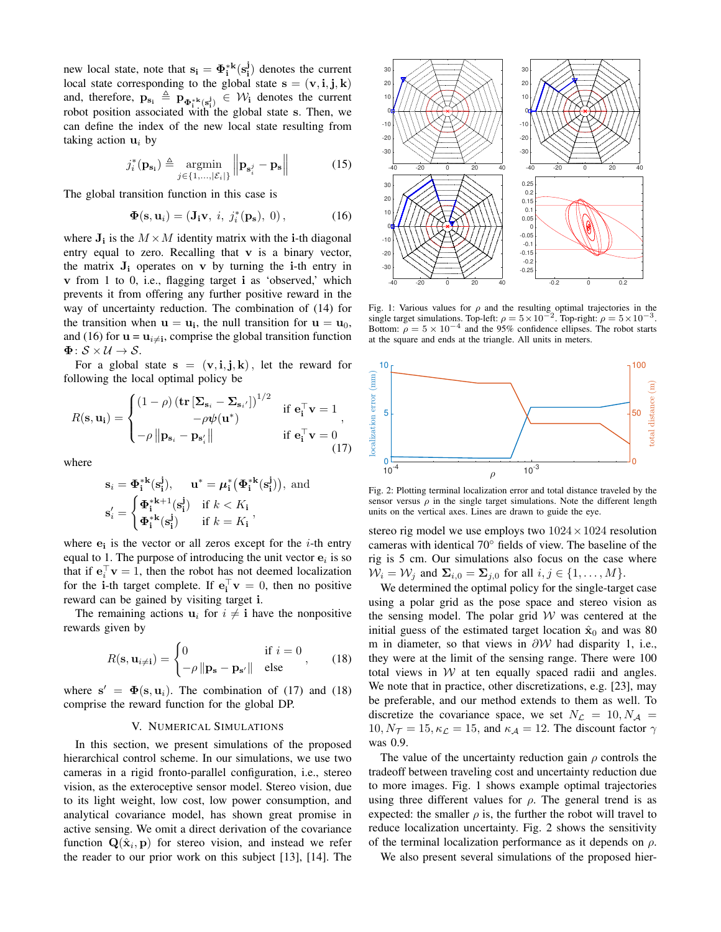new local state, note that  $s_i = \Phi_i^{*k}(s_i^j)$  denotes the current local state corresponding to the global state  $s = (v, i, j, k)$ and, therefore,  $\mathbf{p}_{\mathbf{s}_i} \triangleq \mathbf{p}_{\mathbf{\Phi}_i^* \mathbf{k}(\mathbf{s}_i^i)} \in \mathcal{W}_i$  denotes the current robot position associated with the global state s. Then, we can define the index of the new local state resulting from taking action  $\mathbf{u}_i$  by

$$
j_i^*(\mathbf{p}_{\mathbf{s}_i}) \triangleq \underset{j \in \{1, \dots, |\mathcal{E}_i|\}}{\operatorname{argmin}} \left\| \mathbf{p}_{\mathbf{s}_i^j} - \mathbf{p}_{\mathbf{s}} \right\| \tag{15}
$$

The global transition function in this case is

$$
\mathbf{\Phi}(\mathbf{s}, \mathbf{u}_i) = (\mathbf{J}_i \mathbf{v}, \ i, j_i^*(\mathbf{p}_s), 0), \qquad (16)
$$

where  $J_i$  is the  $M \times M$  identity matrix with the i-th diagonal entry equal to zero. Recalling that v is a binary vector, the matrix  $J_i$  operates on v by turning the *i*-th entry in v from 1 to 0, i.e., flagging target i as 'observed,' which prevents it from offering any further positive reward in the way of uncertainty reduction. The combination of (14) for the transition when  $\mathbf{u} = \mathbf{u_i}$ , the null transition for  $\mathbf{u} = \mathbf{u_0}$ , and (16) for  $\mathbf{u} = \mathbf{u}_{i \neq i}$ , comprise the global transition function  $\Phi \colon \mathcal{S} \times \mathcal{U} \to \mathcal{S}.$ 

For a global state  $s = (v, i, j, k)$ , let the reward for following the local optimal policy be

$$
R(\mathbf{s}, \mathbf{u_i}) = \begin{cases} (1 - \rho) \left( \mathbf{tr} \left[ \mathbf{\Sigma}_{\mathbf{s}_i} - \mathbf{\Sigma}_{\mathbf{s}_i'} \right] \right)^{1/2} & \text{if } \mathbf{e_i}^\top \mathbf{v} = 1 \\ -\rho \psi(\mathbf{u}^*) & \text{if } \mathbf{e_i}^\top \mathbf{v} = 0 \\ -\rho \left\| \mathbf{p}_{\mathbf{s}_i} - \mathbf{p}_{\mathbf{s}_i'} \right\| & \text{if } \mathbf{e_i}^\top \mathbf{v} = 0 \end{cases} \tag{17}
$$

where

$$
\mathbf{s}_{i} = \mathbf{\Phi}_{\mathbf{i}}^{\ast \mathbf{k}}(\mathbf{s}_{\mathbf{i}}^{\mathbf{j}}), \quad \mathbf{u}^{\ast} = \boldsymbol{\mu}_{\mathbf{i}}^{\ast}(\mathbf{\Phi}_{\mathbf{i}}^{\ast \mathbf{k}}(\mathbf{s}_{\mathbf{i}}^{\mathbf{j}})), \text{ and}
$$

$$
\mathbf{s}_{i}' = \begin{cases} \mathbf{\Phi}_{\mathbf{i}}^{\ast \mathbf{k}+1}(\mathbf{s}_{\mathbf{i}}^{\mathbf{j}}) & \text{if } k < K_{\mathbf{i}} \\ \mathbf{\Phi}_{\mathbf{i}}^{\ast \mathbf{k}}(\mathbf{s}_{\mathbf{i}}^{\mathbf{j}}) & \text{if } k = K_{\mathbf{i}} \end{cases},
$$

where  $e_i$  is the vector or all zeros except for the  $i$ -th entry equal to 1. The purpose of introducing the unit vector  $e_i$  is so that if  $\mathbf{e}_i^{\top} \mathbf{v} = 1$ , then the robot has not deemed localization for the **i**-th target complete. If  $\mathbf{e}_i^{\top} \mathbf{v} = 0$ , then no positive reward can be gained by visiting target i.

The remaining actions  $u_i$  for  $i \neq i$  have the nonpositive rewards given by

$$
R(\mathbf{s}, \mathbf{u}_{i \neq \mathbf{i}}) = \begin{cases} 0 & \text{if } i = 0 \\ -\rho ||\mathbf{p}_{\mathbf{s}} - \mathbf{p}_{\mathbf{s}}|| & \text{else} \end{cases}
$$
 (18)

where  $s' = \Phi(s, u_i)$ . The combination of (17) and (18) comprise the reward function for the global DP.

#### V. NUMERICAL SIMULATIONS

In this section, we present simulations of the proposed hierarchical control scheme. In our simulations, we use two cameras in a rigid fronto-parallel configuration, i.e., stereo vision, as the exteroceptive sensor model. Stereo vision, due to its light weight, low cost, low power consumption, and analytical covariance model, has shown great promise in active sensing. We omit a direct derivation of the covariance function  $\mathbf{Q}(\hat{\mathbf{x}}_i, \mathbf{p})$  for stereo vision, and instead we refer the reader to our prior work on this subject [13], [14]. The



Fig. 1: Various values for  $\rho$  and the resulting optimal trajectories in the single target simulations. Top-left:  $\rho = 5 \times 10^{-2}$ . Top-right:  $\rho = 5 \times 10^{-3}$ . Bottom:  $\rho = 5 \times 10^{-4}$  and the 95% confidence ellipses. The at the square and ends at the triangle. All units in meters.



Fig. 2: Plotting terminal localization error and total distance traveled by the sensor versus  $\rho$  in the single target simulations. Note the different length units on the vertical axes. Lines are drawn to guide the eye.

stereo rig model we use employs two  $1024 \times 1024$  resolution cameras with identical 70◦ fields of view. The baseline of the rig is 5 cm. Our simulations also focus on the case where  $W_i = W_j$  and  $\Sigma_{i,0} = \Sigma_{j,0}$  for all  $i, j \in \{1, \ldots, M\}.$ 

We determined the optimal policy for the single-target case using a polar grid as the pose space and stereo vision as the sensing model. The polar grid  $W$  was centered at the initial guess of the estimated target location  $\hat{\mathbf{x}}_0$  and was 80 m in diameter, so that views in  $\partial W$  had disparity 1, i.e., they were at the limit of the sensing range. There were 100 total views in  $W$  at ten equally spaced radii and angles. We note that in practice, other discretizations, e.g. [23], may be preferable, and our method extends to them as well. To discretize the covariance space, we set  $N_{\mathcal{L}} = 10, N_{\mathcal{A}} =$  $10, N_{\mathcal{T}} = 15, \kappa_{\mathcal{L}} = 15$ , and  $\kappa_{\mathcal{A}} = 12$ . The discount factor  $\gamma$ was 0.9.

The value of the uncertainty reduction gain  $\rho$  controls the tradeoff between traveling cost and uncertainty reduction due to more images. Fig. 1 shows example optimal trajectories using three different values for  $\rho$ . The general trend is as expected: the smaller  $\rho$  is, the further the robot will travel to reduce localization uncertainty. Fig. 2 shows the sensitivity of the terminal localization performance as it depends on  $\rho$ .

We also present several simulations of the proposed hier-